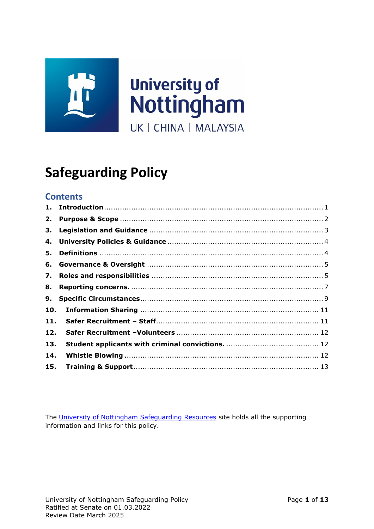

# **Safeguarding Policy**

## **Contents**

| 2.  |  |
|-----|--|
| 3.  |  |
| 4.  |  |
| 5.  |  |
| 6.  |  |
| 7.  |  |
| 8.  |  |
| 9.  |  |
| 10. |  |
| 11. |  |
| 12. |  |
| 13. |  |
| 14. |  |
| 15. |  |
|     |  |

<span id="page-0-0"></span>The [University of Nottingham Safeguarding Resources](https://uniofnottm.sharepoint.com/sites/UoNSafeguardingResources) site holds all the supporting information and links for this policy.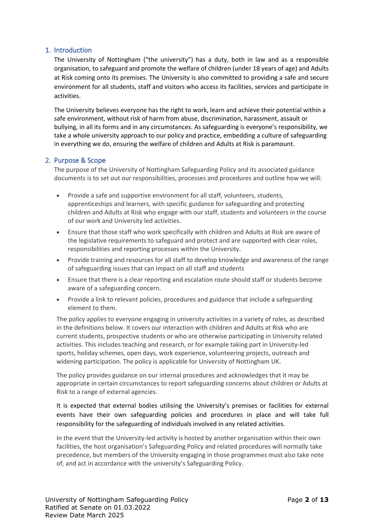## 1. Introduction

The University of Nottingham ("the university") has a duty, both in law and as a responsible organisation, to safeguard and promote the welfare of children (under 18 years of age) and Adults at Risk coming onto its premises. The University is also committed to providing a safe and secure environment for all students, staff and visitors who access its facilities, services and participate in activities.

The University believes everyone has the right to work, learn and achieve their potential within a safe environment, without risk of harm from abuse, discrimination, harassment, assault or bullying, in all its forms and in any circumstances. As safeguarding is everyone's responsibility, we take a whole university approach to our policy and practice, embedding a culture of safeguarding in everything we do, ensuring the welfare of children and Adults at Risk is paramount.

## <span id="page-1-0"></span>2. Purpose & Scope

The purpose of the University of Nottingham Safeguarding Policy and its associated guidance documents is to set out our responsibilities, processes and procedures and outline how we will:

- Provide a safe and supportive environment for all staff, volunteers, students, apprenticeships and learners, with specific guidance for safeguarding and protecting children and Adults at Risk who engage with our staff, students and volunteers in the course of our work and University led activities.
- Ensure that those staff who work specifically with children and Adults at Risk are aware of the legislative requirements to safeguard and protect and are supported with clear roles, responsibilities and reporting processes within the University.
- Provide training and resources for all staff to develop knowledge and awareness of the range of safeguarding issues that can impact on all staff and students
- Ensure that there is a clear reporting and escalation route should staff or students become aware of a safeguarding concern.
- Provide a link to relevant policies, procedures and guidance that include a safeguarding element to them.

The policy applies to everyone engaging in university activities in a variety of roles, as described in the definitions below. It covers our interaction with children and Adults at Risk who are current students, prospective students or who are otherwise participating in University related activities. This includes teaching and research, or for example taking part in University-led sports, holiday schemes, open days, work experience, volunteering projects, outreach and widening participation. The policy is applicable for University of Nottingham UK.

The policy provides guidance on our internal procedures and acknowledges that it may be appropriate in certain circumstances to report safeguarding concerns about children or Adults at Risk to a range of external agencies.

It is expected that external bodies utilising the University's premises or facilities for external events have their own safeguarding policies and procedures in place and will take full responsibility for the safeguarding of individuals involved in any related activities.

In the event that the University-led activity is hosted by another organisation within their own facilities, the host organisation's Safeguarding Policy and related procedures will normally take precedence, but members of the University engaging in those programmes must also take note of, and act in accordance with the university's Safeguarding Policy.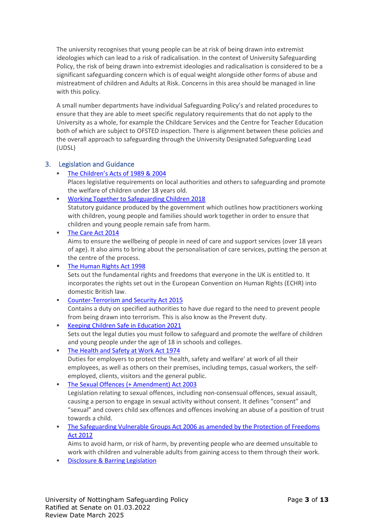The university recognises that young people can be at risk of being drawn into extremist ideologies which can lead to a risk of radicalisation. In the context of University Safeguarding Policy, the risk of being drawn into extremist ideologies and radicalisation is considered to be a significant safeguarding concern which is of equal weight alongside other forms of abuse and mistreatment of children and Adults at Risk. Concerns in this area should be managed in line with this policy.

A small number departments have individual Safeguarding Policy's and related procedures to ensure that they are able to meet specific regulatory requirements that do not apply to the University as a whole, for example the Childcare Services and the Centre for Teacher Education both of which are subject to OFSTED inspection*.* There is alignment between these policies and the overall approach to safeguarding through the University Designated Safeguarding Lead (UDSL)

## <span id="page-2-0"></span>3. Legislation and Guidance

- The Children's [Acts of 1989](https://researchbriefings.files.parliament.uk/documents/SN06787/SN06787.pdf) & 2004 Places legislative requirements on local authorities and others to safeguarding and promote the welfare of children under 18 years old.
- [Working Together to Safeguarding Children 2018](https://assets.publishing.service.gov.uk/government/uploads/system/uploads/attachment_data/file/942454/Working_together_to_safeguard_children_inter_agency_guidance.pdf)

Statutory guidance produced by the government which outlines how practitioners working with children, young people and families should work together in order to ensure that children and young people remain safe from harm.

▪ [The Care Act 2014](https://www.gov.uk/government/publications/care-act-2014-part-1-factsheets/care-act-factsheets)

Aims to ensure the wellbeing of people in need of care and support services (over 18 years of age). It also aims to bring about the personalisation of care services, putting the person at the centre of the process.

■ [The Human Rights Act 1998](https://www.equalityhumanrights.com/en/human-rights/human-rights-act) Sets out the fundamental rights and freedoms that everyone in the UK is entitled to. It incorporates the rights set out in the European Convention on Human Rights (ECHR) into domestic British law.

- [Counter-Terrorism and Security Act 2015](https://www.gov.uk/government/collections/counter-terrorism-and-security-bill) Contains a duty on specified authorities to have due regard to the need to prevent people from being drawn into terrorism. This is also know as the Prevent duty.
- [Keeping Children Safe in Education 2021](https://assets.publishing.service.gov.uk/government/uploads/system/uploads/attachment_data/file/1021914/KCSIE_2021_September_guidance.pdf) Sets out the legal duties you must follow to safeguard and promote the welfare of children and young people under the age of 18 in schools and colleges.
- [The Health and Safety at Work Act 1974](https://www.hse.gov.uk/legislation/hswa.htm) Duties for employers to protect the 'health, safety and welfare' at work of all their employees, as well as others on their premises, including temps, casual workers, the selfemployed, clients, visitors and the general public.
- [The Sexual Offences \(+ Amendment\) Act 2003](https://www.legislation.gov.uk/ukpga/2003/42/pdfs/ukpga_20030042_en.pdf) Legislation relating to sexual offences, including non-consensual offences, sexual assault, causing a person to engage in sexual activity without consent. It defines "consent" and "sexual" and covers child sex offences and offences involving an abuse of a position of trust towards a child.
- The Safeguarding Vulnerable Groups Act 2006 as amended by the Protection of Freedoms [Act 2012](https://www.legislation.gov.uk/ukpga/2006/47/contents)

Aims to avoid harm, or risk of harm, by preventing people who are deemed unsuitable to work with children and vulnerable adults from gaining access to them through their work.

**• [Disclosure & Barring Legislation](https://www.gov.uk/government/organisations/disclosure-and-barring-service/about)**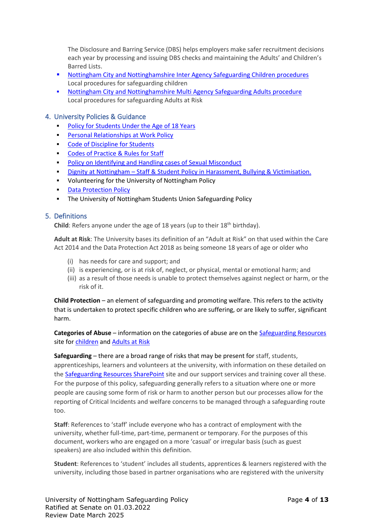The Disclosure and Barring Service (DBS) helps employers make safer recruitment decisions each year by processing and issuing DBS checks and maintaining the Adults' and Children's Barred Lists.

- [Nottingham City and Nottinghamshire Inter Agency Safeguarding Children procedures](https://nottinghamshirescb.proceduresonline.com/) Local procedures for safeguarding children
- Nottingham City and Nottinghamshire Multi Agency Safeguarding Adults procedure Local procedures for safeguarding Adults at Risk

#### <span id="page-3-0"></span>4. University Policies & Guidance

- [Policy for Students Under the Age of 18 Years](https://www.nottingham.ac.uk/admissions/documents/university-policy-(under-18).pdf)
- **[Personal Relationships at Work Policy](https://www.nottingham.ac.uk/hr/guidesandsupport/universitycodesofpracticeandrules/documents/staff-and-student-personal-relationships-policy-11-2020.pdf)**
- [Code of Discipline for Students](https://www.nottingham.ac.uk/currentstudents/standards-of-behaviour/student-code-of-discipline.aspx)
- Codes of Practice & Rules for Staff
- [Policy on Identifying and Handling cases of Sexual Misconduct](https://www.nottingham.ac.uk/governance/documents/sexual-misconduct-policy.pdf)
- **Example 1** Dignity at Nottingham [Staff & Student Policy in Harassment, Bullying & Victimisation.](https://www.nottingham.ac.uk/hr/guidesandsupport/complaintsgrievanceanddignity/dignity/documents/dignity-at-nottingham-policy-update-12-2019.pdf)
- Volunteering for the University of Nottingham Policy
- [Data Protection Policy](https://www.nottingham.ac.uk/governance/records-and-information-management/data-protection/data-protection-policy.aspx)
- **The University of Nottingham Students Union Safeguarding Policy**

#### <span id="page-3-1"></span>5. Definitions

**Child**: Refers anyone under the age of 18 years (up to their 18<sup>th</sup> birthday).

**Adult at Risk**: The University bases its definition of an "Adult at Risk" on that used within the Care Act 2014 and the Data Protection Act 2018 as being someone 18 years of age or older who

- (i) has needs for care and support; and
- (ii) is experiencing, or is at risk of, neglect, or physical, mental or emotional harm; and
- (iii) as a result of those needs is unable to protect themselves against neglect or harm, or the risk of it.

**Child Protection** – an element of safeguarding and promoting welfare. This refers to the activity that is undertaken to protect specific children who are suffering, or are likely to suffer, significant harm.

**Categories of Abuse** – information on the categories of abuse are on the [Safeguarding](https://uniofnottm.sharepoint.com/sites/UoNSafeguardingResources) Resources site for [children](https://uniofnottm.sharepoint.com/sites/UoNSafeguardingResources/Shared%20Documents/Forms/AllItems.aspx?id=%2Fsites%2FUoNSafeguardingResources%2FShared%20Documents%2FSafeguarding%20Resources%2FLegal%20Definitions%20of%20Abuse%20%2D%20Children%2Epdf&parent=%2Fsites%2FUoNSafeguardingResources%2FShared%20Documents%2FSafeguarding%20Resources) and [Adults at Risk](https://uniofnottm.sharepoint.com/sites/UoNSafeguardingResources/Shared%20Documents/Forms/AllItems.aspx?id=%2Fsites%2FUoNSafeguardingResources%2FShared%20Documents%2FSafeguarding%20Resources%2FLegal%20Definition%20%2D%20Adult%20Safeguarding%2Epdf&parent=%2Fsites%2FUoNSafeguardingResources%2FShared%20Documents%2FSafeguarding%20Resources)

**Safeguarding** – there are a broad range of risks that may be present for staff, students, apprenticeships, learners and volunteers at the university, with information on these detailed on th[e Safeguarding Resources SharePoint](https://uniofnottm.sharepoint.com/sites/UoNSafeguardingResources) site and our support services and training cover all these. For the purpose of this policy, safeguarding generally refers to a situation where one or more people are causing some form of risk or harm to another person but our processes allow for the reporting of Critical Incidents and welfare concerns to be managed through a safeguarding route too.

**Staff**: References to 'staff' include everyone who has a contract of employment with the university, whether full-time, part-time, permanent or temporary. For the purposes of this document, workers who are engaged on a more 'casual' or irregular basis (such as guest speakers) are also included within this definition.

**Student**: References to 'student' includes all students, apprentices & learners registered with the university, including those based in partner organisations who are registered with the university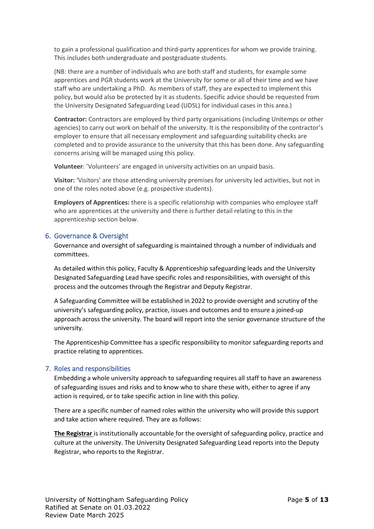to gain a professional qualification and third-party apprentices for whom we provide training. This includes both undergraduate and postgraduate students.

(NB: there are a number of individuals who are both staff and students, for example some apprentices and PGR students work at the University for some or all of their time and we have staff who are undertaking a PhD. As members of staff, they are expected to implement this policy, but would also be protected by it as students. Specific advice should be requested from the University Designated Safeguarding Lead (UDSL) for individual cases in this area.)

**Contractor:** Contractors are employed by third party organisations (including Unitemps or other agencies) to carry out work on behalf of the university. It is the responsibility of the contractor's employer to ensure that all necessary employment and safeguarding suitability checks are completed and to provide assurance to the university that this has been done. Any safeguarding concerns arising will be managed using this policy.

**Volunteer**: 'Volunteers' are engaged in university activities on an unpaid basis.

**Visitor:** 'Visitors' are those attending university premises for university led activities, but not in one of the roles noted above (e.g. prospective students).

**Employers of Apprentices:** there is a specific relationship with companies who employee staff who are apprentices at the university and there is further detail relating to this in the apprenticeship section below.

## <span id="page-4-0"></span>6. Governance & Oversight

Governance and oversight of safeguarding is maintained through a number of individuals and committees.

As detailed within this policy, Faculty & Apprenticeship safeguarding leads and the University Designated Safeguarding Lead have specific roles and responsibilities, with oversight of this process and the outcomes through the Registrar and Deputy Registrar.

A Safeguarding Committee will be established in 2022 to provide oversight and scrutiny of the university's safeguarding policy, practice, issues and outcomes and to ensure a joined-up approach across the university. The board will report into the senior governance structure of the university.

The Apprenticeship Committee has a specific responsibility to monitor safeguarding reports and practice relating to apprentices.

## <span id="page-4-1"></span>7. Roles and responsibilities

Embedding a whole university approach to safeguarding requires all staff to have an awareness of safeguarding issues and risks and to know who to share these with, either to agree if any action is required, or to take specific action in line with this policy.

There are a specific number of named roles within the university who will provide this support and take action where required. They are as follows:

**The Registrar** is institutionally accountable for the oversight of safeguarding policy, practice and culture at the university. The University Designated Safeguarding Lead reports into the Deputy Registrar, who reports to the Registrar.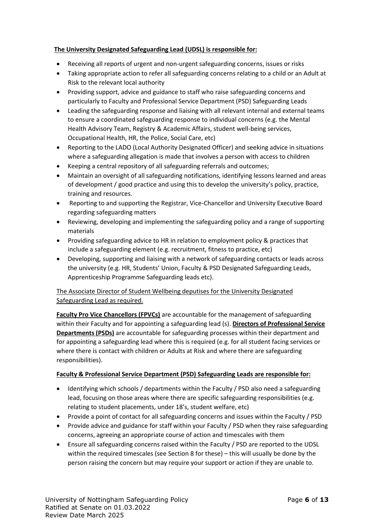## **The University Designated Safeguarding Lead (UDSL) is responsible for:**

- Receiving all reports of urgent and non-urgent safeguarding concerns, issues or risks
- Taking appropriate action to refer all safeguarding concerns relating to a child or an Adult at Risk to the relevant local authority
- Providing support, advice and guidance to staff who raise safeguarding concerns and particularly to Faculty and Professional Service Department (PSD) Safeguarding Leads
- Leading the safeguarding response and liaising with all relevant internal and external teams to ensure a coordinated safeguarding response to individual concerns (e.g. the Mental Health Advisory Team, Registry & Academic Affairs, student well-being services, Occupational Health, HR, the Police, Social Care, etc)
- Reporting to the LADO (Local Authority Designated Officer) and seeking advice in situations where a safeguarding allegation is made that involves a person with access to children
- Keeping a central repository of all safeguarding referrals and outcomes;
- Maintain an oversight of all safeguarding notifications, identifying lessons learned and areas of development / good practice and using this to develop the university's policy, practice, training and resources.
- Reporting to and supporting the Registrar, Vice-Chancellor and University Executive Board regarding safeguarding matters
- Reviewing, developing and implementing the safeguarding policy and a range of supporting materials
- Providing safeguarding advice to HR in relation to employment policy & practices that include a safeguarding element (e.g. recruitment, fitness to practice, etc)
- Developing, supporting and liaising with a network of safeguarding contacts or leads across the university (e.g. HR, Students' Union, Faculty & PSD Designated Safeguarding Leads, Apprenticeship Programme Safeguarding leads etc).

## The Associate Director of Student Wellbeing deputises for the University Designated Safeguarding Lead as required.

**Faculty Pro Vice Chancellors (FPVCs)** are accountable for the management of safeguarding within their Faculty and for appointing a safeguarding lead (s). **Directors of Professional Service Departments (PSDs)** are accountable for safeguarding processes within their department and for appointing a safeguarding lead where this is required (e.g. for all student facing services or where there is contact with children or Adults at Risk and where there are safeguarding responsibilities).

## **Faculty & Professional Service Department (PSD) Safeguarding Leads are responsible for:**

- Identifying which schools / departments within the Faculty / PSD also need a safeguarding lead, focusing on those areas where there are specific safeguarding responsibilities (e.g. relating to student placements, under 18's, student welfare, etc)
- Provide a point of contact for all safeguarding concerns and issues within the Faculty / PSD
- Provide advice and guidance for staff within your Faculty / PSD when they raise safeguarding concerns, agreeing an appropriate course of action and timescales with them
- Ensure all safeguarding concerns raised within the Faculty / PSD are reported to the UDSL within the required timescales (see Section 8 for these) – this will usually be done by the person raising the concern but may require your support or action if they are unable to.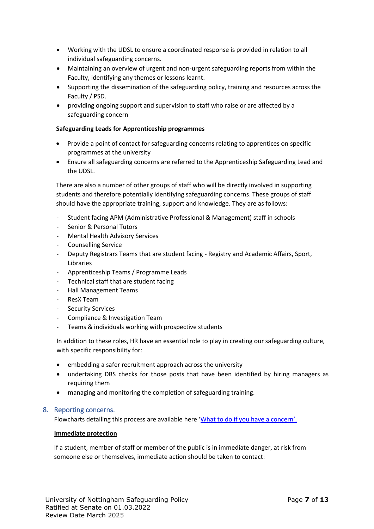- Working with the UDSL to ensure a coordinated response is provided in relation to all individual safeguarding concerns.
- Maintaining an overview of urgent and non-urgent safeguarding reports from within the Faculty, identifying any themes or lessons learnt.
- Supporting the dissemination of the safeguarding policy, training and resources across the Faculty / PSD.
- providing ongoing support and supervision to staff who raise or are affected by a safeguarding concern

### **Safeguarding Leads for Apprenticeship programmes**

- Provide a point of contact for safeguarding concerns relating to apprentices on specific programmes at the university
- Ensure all safeguarding concerns are referred to the Apprenticeship Safeguarding Lead and the UDSL.

There are also a number of other groups of staff who will be directly involved in supporting students and therefore potentially identifying safeguarding concerns. These groups of staff should have the appropriate training, support and knowledge. They are as follows:

- Student facing APM (Administrative Professional & Management) staff in schools
- Senior & Personal Tutors
- Mental Health Advisory Services
- Counselling Service
- Deputy Registrars Teams that are student facing Registry and Academic Affairs, Sport, Libraries
- Apprenticeship Teams / Programme Leads
- Technical staff that are student facing
- Hall Management Teams
- ResX Team
- Security Services
- Compliance & Investigation Team
- Teams & individuals working with prospective students

In addition to these roles, HR have an essential role to play in creating our safeguarding culture, with specific responsibility for:

- embedding a safer recruitment approach across the university
- undertaking DBS checks for those posts that have been identified by hiring managers as requiring them
- managing and monitoring the completion of safeguarding training.

#### <span id="page-6-0"></span>8. Reporting concerns.

Flowcharts detailing this process are available here ['What to do if you have a concern'.](https://uniofnottm.sharepoint.com/sites/UoNSafeguardingResources/Shared%20Documents/Forms/AllItems.aspx?id=%2Fsites%2FUoNSafeguardingResources%2FShared%20Documents%2FWhat%20to%20do%20if%20you%20have%20a%20concern%2FReporting%20Safeguarding%20Concerns%20Flowchart%20for%20university%20staff%20%26%20volunteers%2Epdf&parent=%2Fsites%2FUoNSafeguardingResources%2FShared%20Documents%2FWhat%20to%20do%20if%20you%20have%20a%20concern)

#### **Immediate protection**

If a student, member of staff or member of the public is in immediate danger, at risk from someone else or themselves, immediate action should be taken to contact: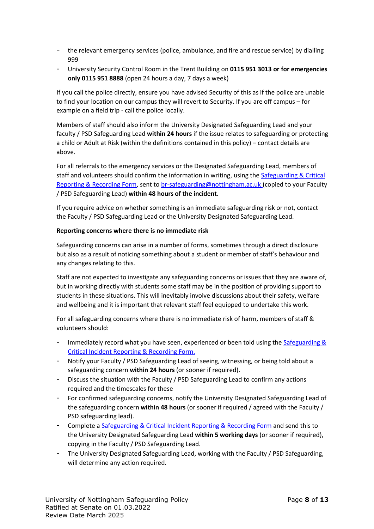- the relevant emergency services (police, ambulance, and fire and rescue service) by dialling 999
- University Security Control Room in the Trent Building on **0115 951 3013 or for emergencies only 0115 951 8888** (open 24 hours a day, 7 days a week)

If you call the police directly, ensure you have advised Security of this as if the police are unable to find your location on our campus they will revert to Security. If you are off campus – for example on a field trip - call the police locally.

Members of staff should also inform the University Designated Safeguarding Lead and your faculty / PSD Safeguarding Lead **within 24 hours** if the issue relates to safeguarding or protecting a child or Adult at Risk (within the definitions contained in this policy) – contact details are above.

For all referrals to the emergency services or the Designated Safeguarding Lead, members of staff and volunteers should confirm the information in writing, using th[e Safeguarding & Critical](https://uniofnottm.sharepoint.com/:w:/r/sites/UoNSafeguardingResources/_layouts/15/Doc.aspx?sourcedoc=%7BE4E9E924-14C6-45B8-BE87-AF11D28B844F%7D&file=166034704Safeguarding%20%26%20Critical%20Incident%20Reporting%20%26%20Recording%20Form.docx&action=default&mobileredirect=true)  [Reporting & Recording Form,](https://uniofnottm.sharepoint.com/:w:/r/sites/UoNSafeguardingResources/_layouts/15/Doc.aspx?sourcedoc=%7BE4E9E924-14C6-45B8-BE87-AF11D28B844F%7D&file=166034704Safeguarding%20%26%20Critical%20Incident%20Reporting%20%26%20Recording%20Form.docx&action=default&mobileredirect=true) sent t[o br-safeguarding@nottingham.ac.uk](mailto:br-safeguarding@nottingham.ac.uk) (copied to your Faculty / PSD Safeguarding Lead) **within 48 hours of the incident.** 

If you require advice on whether something is an immediate safeguarding risk or not, contact the Faculty / PSD Safeguarding Lead or the University Designated Safeguarding Lead.

#### **Reporting concerns where there is no immediate risk**

Safeguarding concerns can arise in a number of forms, sometimes through a direct disclosure but also as a result of noticing something about a student or member of staff's behaviour and any changes relating to this.

Staff are not expected to investigate any safeguarding concerns or issues that they are aware of, but in working directly with students some staff may be in the position of providing support to students in these situations. This will inevitably involve discussions about their safety, welfare and wellbeing and it is important that relevant staff feel equipped to undertake this work.

For all safeguarding concerns where there is no immediate risk of harm, members of staff & volunteers should:

- Immediately record what you have seen, experienced or been told using the Safeguarding & [Critical Incident Reporting & Recording Form.](https://uniofnottm.sharepoint.com/:w:/r/sites/UoNSafeguardingResources/_layouts/15/Doc.aspx?sourcedoc=%7B1EE3A55D-F17C-4309-A066-6CD41826927E%7D&file=Safeguarding%20%26%20Critical%20Incident%20Referral%20Form.docx&action=default&mobileredirect=true)
- Notify your Faculty / PSD Safeguarding Lead of seeing, witnessing, or being told about a safeguarding concern **within 24 hours** (or sooner if required).
- Discuss the situation with the Faculty / PSD Safeguarding Lead to confirm any actions required and the timescales for these
- For confirmed safeguarding concerns, notify the University Designated Safeguarding Lead of the safeguarding concern **within 48 hours** (or sooner if required / agreed with the Faculty / PSD safeguarding lead).
- Complete [a Safeguarding & Critical Incident Reporting & Recording Form](https://uniofnottm.sharepoint.com/:w:/r/sites/UoNSafeguardingResources/_layouts/15/Doc.aspx?sourcedoc=%7B1EE3A55D-F17C-4309-A066-6CD41826927E%7D&file=Safeguarding%20%26%20Critical%20Incident%20Referral%20Form.docx&action=default&mobileredirect=true) and send this to the University Designated Safeguarding Lead **within 5 working days** (or sooner if required), copying in the Faculty / PSD Safeguarding Lead.
- The University Designated Safeguarding Lead, working with the Faculty / PSD Safeguarding, will determine any action required.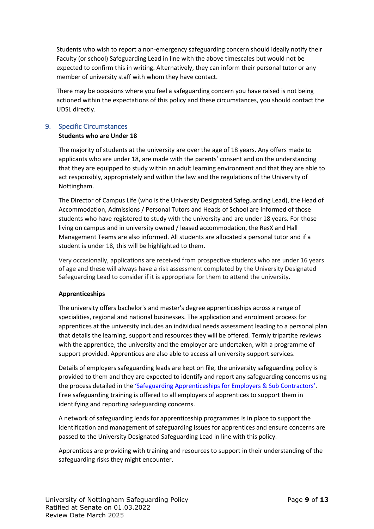Students who wish to report a non-emergency safeguarding concern should ideally notify their Faculty (or school) Safeguarding Lead in line with the above timescales but would not be expected to confirm this in writing. Alternatively, they can inform their personal tutor or any member of university staff with whom they have contact.

There may be occasions where you feel a safeguarding concern you have raised is not being actioned within the expectations of this policy and these circumstances, you should contact the UDSL directly.

## <span id="page-8-0"></span>9. Specific Circumstances **Students who are Under 18**

The majority of students at the university are over the age of 18 years. Any offers made to applicants who are under 18, are made with the parents' consent and on the understanding that they are equipped to study within an adult learning environment and that they are able to act responsibly, appropriately and within the law and the regulations of the University of Nottingham.

The Director of Campus Life (who is the University Designated Safeguarding Lead), the Head of Accommodation, Admissions / Personal Tutors and Heads of School are informed of those students who have registered to study with the university and are under 18 years. For those living on campus and in university owned / leased accommodation, the ResX and Hall Management Teams are also informed. All students are allocated a personal tutor and if a student is under 18, this will be highlighted to them.

Very occasionally, applications are received from prospective students who are under 16 years of age and these will always have a risk assessment completed by the University Designated Safeguarding Lead to consider if it is appropriate for them to attend the university.

## **Apprenticeships**

The university offers bachelor's and master's degree apprenticeships across a range of specialities, regional and national businesses. The application and enrolment process for apprentices at the university includes an individual needs assessment leading to a personal plan that details the learning, support and resources they will be offered. Termly tripartite reviews with the apprentice, the university and the employer are undertaken, with a programme of support provided. Apprentices are also able to access all university support services.

Details of employers safeguarding leads are kept on file, the university safeguarding policy is provided to them and they are expected to identify and report any safeguarding concerns using the process detailed in the '[Safeguarding Apprenticeships for Employers & Sub Contractors](https://uniofnottm.sharepoint.com/sites/UoNSafeguardingResources/Shared%20Documents/Forms/AllItems.aspx?id=%2Fsites%2FUoNSafeguardingResources%2FShared%20Documents%2FWhat%20to%20do%20if%20you%20have%20a%20concern%2FReporting%20Safeguarding%20Concerns%20Flowcharts%2Epdf&parent=%2Fsites%2FUoNSafeguardingResources%2FShared%20Documents%2FWhat%20to%20do%20if%20you%20have%20a%20concern)'. Free safeguarding training is offered to all employers of apprentices to support them in identifying and reporting safeguarding concerns.

A network of safeguarding leads for apprenticeship programmes is in place to support the identification and management of safeguarding issues for apprentices and ensure concerns are passed to the University Designated Safeguarding Lead in line with this policy.

Apprentices are providing with training and resources to support in their understanding of the safeguarding risks they might encounter.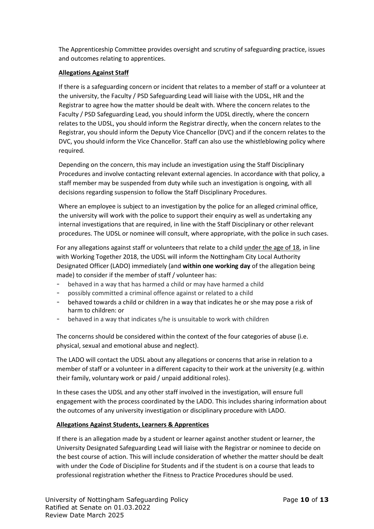The Apprenticeship Committee provides oversight and scrutiny of safeguarding practice, issues and outcomes relating to apprentices.

### **Allegations Against Staff**

If there is a safeguarding concern or incident that relates to a member of staff or a volunteer at the university, the Faculty / PSD Safeguarding Lead will liaise with the UDSL, HR and the Registrar to agree how the matter should be dealt with. Where the concern relates to the Faculty / PSD Safeguarding Lead, you should inform the UDSL directly, where the concern relates to the UDSL, you should inform the Registrar directly, when the concern relates to the Registrar, you should inform the Deputy Vice Chancellor (DVC) and if the concern relates to the DVC, you should inform the Vice Chancellor. Staff can also use the whistleblowing policy where required.

Depending on the concern, this may include an investigation using the Staff Disciplinary Procedures and involve contacting relevant external agencies. In accordance with that policy, a staff member may be suspended from duty while such an investigation is ongoing, with all decisions regarding suspension to follow the Staff Disciplinary Procedures.

Where an employee is subject to an investigation by the police for an alleged criminal office, the university will work with the police to support their enquiry as well as undertaking any internal investigations that are required, in line with the Staff Disciplinary or other relevant procedures. The UDSL or nominee will consult, where appropriate, with the police in such cases.

For any allegations against staff or volunteers that relate to a child under the age of 18, in line with Working Together 2018, the UDSL will inform the Nottingham City Local Authority Designated Officer (LADO) immediately (and **within one working day** of the allegation being made) to consider if the member of staff / volunteer has:

- behaved in a way that has harmed a child or may have harmed a child
- possibly committed a criminal offence against or related to a child
- behaved towards a child or children in a way that indicates he or she may pose a risk of harm to children: or
- behaved in a way that indicates s/he is unsuitable to work with children

The concerns should be considered within the context of the four categories of abuse (i.e. physical, sexual and emotional abuse and neglect).

The LADO will contact the UDSL about any allegations or concerns that arise in relation to a member of staff or a volunteer in a different capacity to their work at the university (e.g. within their family, voluntary work or paid / unpaid additional roles).

In these cases the UDSL and any other staff involved in the investigation, will ensure full engagement with the process coordinated by the LADO. This includes sharing information about the outcomes of any university investigation or disciplinary procedure with LADO.

#### **Allegations Against Students, Learners & Apprentices**

If there is an allegation made by a student or learner against another student or learner, the University Designated Safeguarding Lead will liaise with the Registrar or nominee to decide on the best course of action. This will include consideration of whether the matter should be dealt with under the Code of Discipline for Students and if the student is on a course that leads to professional registration whether the Fitness to Practice Procedures should be used.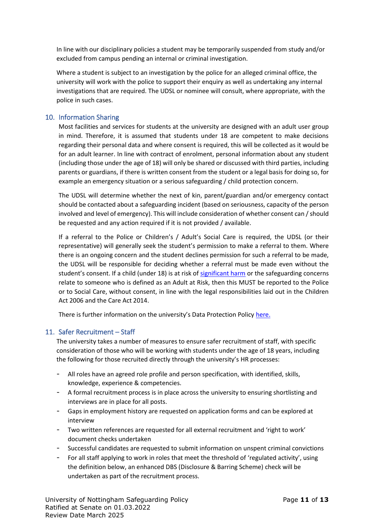In line with our disciplinary policies a student may be temporarily suspended from study and/or excluded from campus pending an internal or criminal investigation.

Where a student is subject to an investigation by the police for an alleged criminal office, the university will work with the police to support their enquiry as well as undertaking any internal investigations that are required. The UDSL or nominee will consult, where appropriate, with the police in such cases.

## <span id="page-10-0"></span>10. Information Sharing

Most facilities and services for students at the university are designed with an adult user group in mind. Therefore, it is assumed that students under 18 are competent to make decisions regarding their personal data and where consent is required, this will be collected as it would be for an adult learner. In line with contract of enrolment, personal information about any student (including those under the age of 18) will only be shared or discussed with third parties, including parents or guardians, if there is written consent from the student or a legal basis for doing so, for example an emergency situation or a serious safeguarding / child protection concern.

The UDSL will determine whether the next of kin, parent/guardian and/or emergency contact should be contacted about a safeguarding incident (based on seriousness, capacity of the person involved and level of emergency). This will include consideration of whether consent can / should be requested and any action required if it is not provided / available.

If a referral to the Police or Children's / Adult's Social Care is required, the UDSL (or their representative) will generally seek the student's permission to make a referral to them. Where there is an ongoing concern and the student declines permission for such a referral to be made, the UDSL will be responsible for deciding whether a referral must be made even without the student's consent. If a child (under 18) is at risk of [significant harm](https://uniofnottm.sharepoint.com/sites/UoNSafeguardingResources/Shared%20Documents/Forms/AllItems.aspx?id=%2Fsites%2FUoNSafeguardingResources%2FShared%20Documents%2FSafeguarding%20Resources%2FLegal%20Definitions%20of%20Abuse%20%2D%20Children%2Epdf&parent=%2Fsites%2FUoNSafeguardingResources%2FShared%20Documents%2FSafeguarding%20Resources) or the safeguarding concerns relate to someone who is defined as an Adult at Risk, then this MUST be reported to the Police or to Social Care, without consent, in line with the legal responsibilities laid out in the Children Act 2006 and the Care Act 2014.

There is further information on the university's Data Protection Policy [here.](https://www.nottingham.ac.uk/governance/records-and-information-management/data-protection/data-protection-policy.aspx)

## <span id="page-10-1"></span>11. Safer Recruitment – Staff

The university takes a number of measures to ensure safer recruitment of staff, with specific consideration of those who will be working with students under the age of 18 years, including the following for those recruited directly through the university's HR processes:

- All roles have an agreed role profile and person specification, with identified, skills, knowledge, experience & competencies.
- A formal recruitment process is in place across the university to ensuring shortlisting and interviews are in place for all posts.
- Gaps in employment history are requested on application forms and can be explored at interview
- Two written references are requested for all external recruitment and 'right to work' document checks undertaken
- Successful candidates are requested to submit information on unspent criminal convictions
- For all staff applying to work in roles that meet the threshold of 'regulated activity', using the definition below, an enhanced DBS (Disclosure & Barring Scheme) check will be undertaken as part of the recruitment process.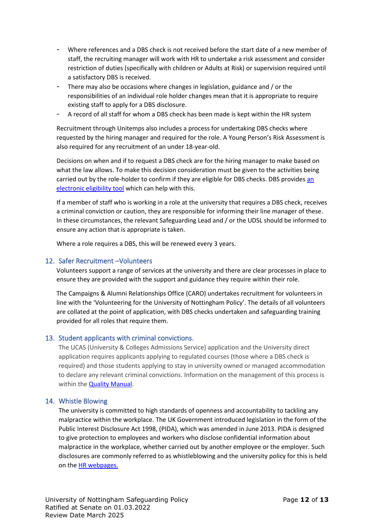- Where references and a DBS check is not received before the start date of a new member of staff, the recruiting manager will work with HR to undertake a risk assessment and consider restriction of duties (specifically with children or Adults at Risk) or supervision required until a satisfactory DBS is received.
- There may also be occasions where changes in legislation, guidance and / or the responsibilities of an individual role holder changes mean that it is appropriate to require existing staff to apply for a DBS disclosure.
- A record of all staff for whom a DBS check has been made is kept within the HR system

Recruitment through Unitemps also includes a process for undertaking DBS checks where requested by the hiring manager and required for the role. A Young Person's Risk Assessment is also required for any recruitment of an under 18-year-old.

Decisions on when and if to request a DBS check are for the hiring manager to make based on what the law allows. To make this decision consideration must be given to the activities being carried out by the role-holder to confirm if they are eligible for DBS checks. DBS provide[s an](https://www.gov.uk/find-out-dbs-check)  [electronic eligibility tool](https://www.gov.uk/find-out-dbs-check) which can help with this.

If a member of staff who is working in a role at the university that requires a DBS check, receives a criminal conviction or caution, they are responsible for informing their line manager of these. In these circumstances, the relevant Safeguarding Lead and / or the UDSL should be informed to ensure any action that is appropriate is taken.

Where a role requires a DBS, this will be renewed every 3 years.

## <span id="page-11-0"></span>12. Safer Recruitment –Volunteers

Volunteers support a range of services at the university and there are clear processes in place to ensure they are provided with the support and guidance they require within their role.

The Campaigns & Alumni Relationships Office (CARO) undertakes recruitment for volunteers in line with the 'Volunteering for the University of Nottingham Policy'. The details of all volunteers are collated at the point of application, with DBS checks undertaken and safeguarding training provided for all roles that require them.

## <span id="page-11-1"></span>13. Student applicants with criminal convictions.

The UCAS (University & Colleges Admissions Service) application and the University direct application requires applicants applying to regulated courses (those where a DBS check is required) and those students applying to stay in university owned or managed accommodation to declare any relevant criminal convictions. Information on the management of this process is within th[e Quality Manual.](https://www.nottingham.ac.uk/qualitymanual/admissions/admissions-procedures-criminal.aspx)

## <span id="page-11-2"></span>14. Whistle Blowing

The university is committed to high standards of openness and accountability to tackling any malpractice within the workplace. The UK Government introduced legislation in the form of the Public Interest Disclosure Act 1998, (PIDA), which was amended in June 2013. PIDA is designed to give protection to employees and workers who disclose confidential information about malpractice in the workplace, whether carried out by another employee or the employer. Such disclosures are commonly referred to as whistleblowing and the university policy for this is held on the [HR webpages.](https://www.nottingham.ac.uk/governance/documents/whistleblowing.pdf)